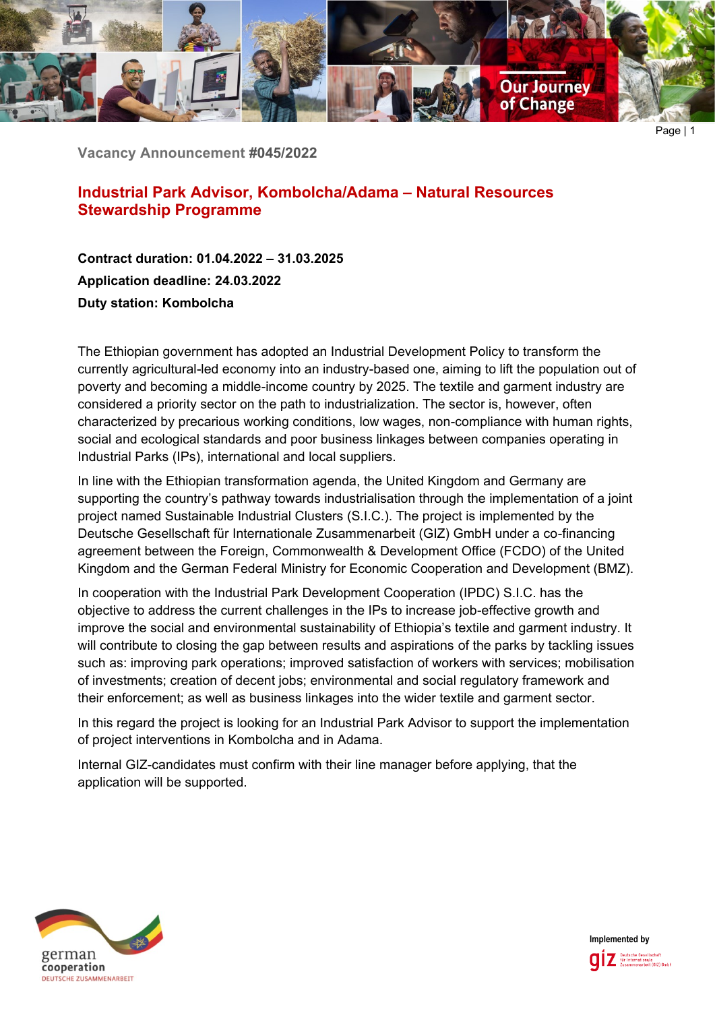

**Vacancy Announcement #045/2022**

# **Industrial Park Advisor, Kombolcha/Adama – Natural Resources Stewardship Programme**

**Contract duration: 01.04.2022 – 31.03.2025 Application deadline: 24.03.2022 Duty station: Kombolcha**

The Ethiopian government has adopted an Industrial Development Policy to transform the currently agricultural-led economy into an industry-based one, aiming to lift the population out of poverty and becoming a middle-income country by 2025. The textile and garment industry are considered a priority sector on the path to industrialization. The sector is, however, often characterized by precarious working conditions, low wages, non-compliance with human rights, social and ecological standards and poor business linkages between companies operating in Industrial Parks (IPs), international and local suppliers.

In line with the Ethiopian transformation agenda, the United Kingdom and Germany are supporting the country's pathway towards industrialisation through the implementation of a joint project named Sustainable Industrial Clusters (S.I.C.). The project is implemented by the Deutsche Gesellschaft für Internationale Zusammenarbeit (GIZ) GmbH under a co-financing agreement between the Foreign, Commonwealth & Development Office (FCDO) of the United Kingdom and the German Federal Ministry for Economic Cooperation and Development (BMZ).

In cooperation with the Industrial Park Development Cooperation (IPDC) S.I.C. has the objective to address the current challenges in the IPs to increase job-effective growth and improve the social and environmental sustainability of Ethiopia's textile and garment industry. It will contribute to closing the gap between results and aspirations of the parks by tackling issues such as: improving park operations; improved satisfaction of workers with services; mobilisation of investments; creation of decent jobs; environmental and social regulatory framework and their enforcement; as well as business linkages into the wider textile and garment sector.

In this regard the project is looking for an Industrial Park Advisor to support the implementation of project interventions in Kombolcha and in Adama.

Internal GIZ-candidates must confirm with their line manager before applying, that the application will be supported.



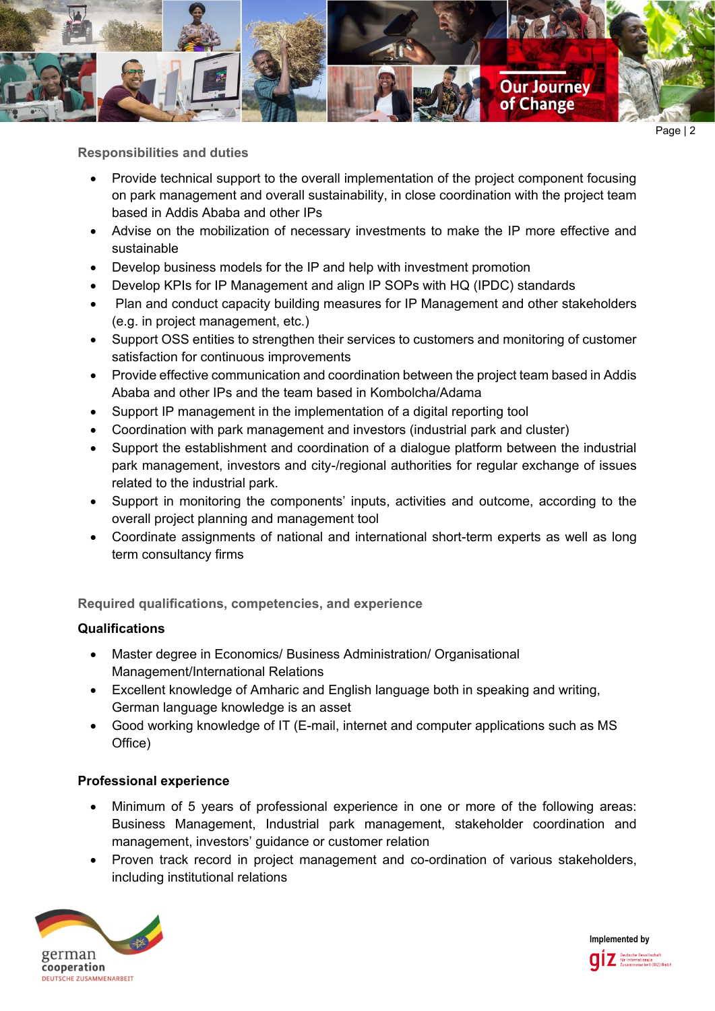

**Responsibilities and duties**

- Provide technical support to the overall implementation of the project component focusing on park management and overall sustainability, in close coordination with the project team based in Addis Ababa and other IPs
- Advise on the mobilization of necessary investments to make the IP more effective and sustainable
- Develop business models for the IP and help with investment promotion
- Develop KPIs for IP Management and align IP SOPs with HQ (IPDC) standards
- Plan and conduct capacity building measures for IP Management and other stakeholders (e.g. in project management, etc.)
- Support OSS entities to strengthen their services to customers and monitoring of customer satisfaction for continuous improvements
- Provide effective communication and coordination between the project team based in Addis Ababa and other IPs and the team based in Kombolcha/Adama
- Support IP management in the implementation of a digital reporting tool
- Coordination with park management and investors (industrial park and cluster)
- Support the establishment and coordination of a dialogue platform between the industrial park management, investors and city-/regional authorities for regular exchange of issues related to the industrial park.
- Support in monitoring the components' inputs, activities and outcome, according to the overall project planning and management tool
- Coordinate assignments of national and international short-term experts as well as long term consultancy firms

**Required qualifications, competencies, and experience**

### **Qualifications**

- Master degree in Economics/ Business Administration/ Organisational Management/International Relations
- Excellent knowledge of Amharic and English language both in speaking and writing, German language knowledge is an asset
- Good working knowledge of IT (E-mail, internet and computer applications such as MS Office)

### **Professional experience**

- Minimum of 5 years of professional experience in one or more of the following areas: Business Management, Industrial park management, stakeholder coordination and management, investors' guidance or customer relation
- Proven track record in project management and co-ordination of various stakeholders, including institutional relations